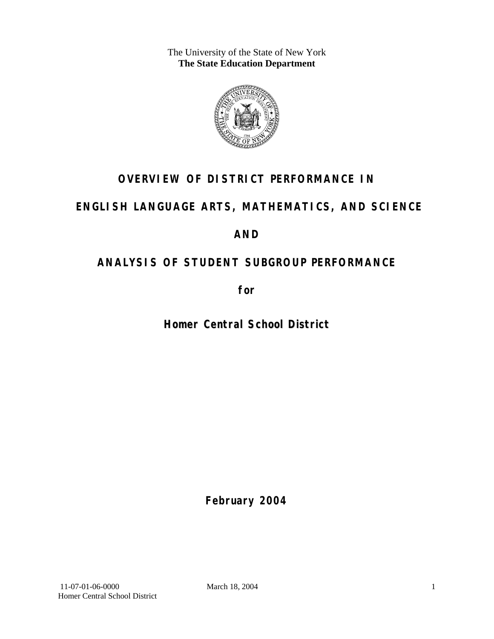The University of the State of New York **The State Education Department** 



## **OVERVIEW OF DISTRICT PERFORMANCE IN**

## **ENGLISH LANGUAGE ARTS, MATHEMATICS, AND SCIENCE**

## **AND**

## **ANALYSIS OF STUDENT SUBGROUP PERFORMANCE**

**for** 

**Homer Central School District**

**February 2004**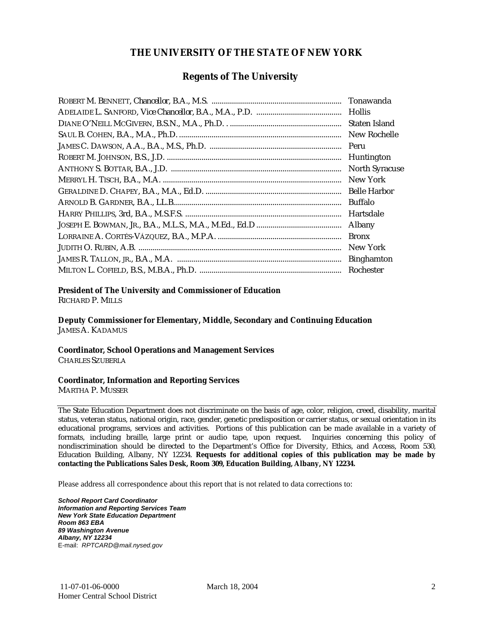#### **THE UNIVERSITY OF THE STATE OF NEW YORK**

#### **Regents of The University**

| Tonawanda             |
|-----------------------|
| <b>Hollis</b>         |
| Staten Island         |
| New Rochelle          |
| Peru                  |
| Huntington            |
| <b>North Syracuse</b> |
| New York              |
| <b>Belle Harbor</b>   |
| <b>Buffalo</b>        |
| Hartsdale             |
| Albany                |
| <b>Bronx</b>          |
| New York              |
| <b>Binghamton</b>     |
| Rochester             |

#### **President of The University and Commissioner of Education**

RICHARD P. MILLS

**Deputy Commissioner for Elementary, Middle, Secondary and Continuing Education**  JAMES A. KADAMUS

#### **Coordinator, School Operations and Management Services**

CHARLES SZUBERLA

#### **Coordinator, Information and Reporting Services**

MARTHA P. MUSSER

The State Education Department does not discriminate on the basis of age, color, religion, creed, disability, marital status, veteran status, national origin, race, gender, genetic predisposition or carrier status, or sexual orientation in its educational programs, services and activities. Portions of this publication can be made available in a variety of formats, including braille, large print or audio tape, upon request. Inquiries concerning this policy of nondiscrimination should be directed to the Department's Office for Diversity, Ethics, and Access, Room 530, Education Building, Albany, NY 12234. **Requests for additional copies of this publication may be made by contacting the Publications Sales Desk, Room 309, Education Building, Albany, NY 12234.** 

Please address all correspondence about this report that is not related to data corrections to:

*School Report Card Coordinator Information and Reporting Services Team New York State Education Department Room 863 EBA 89 Washington Avenue Albany, NY 12234*  E-mail: *RPTCARD@mail.nysed.gov*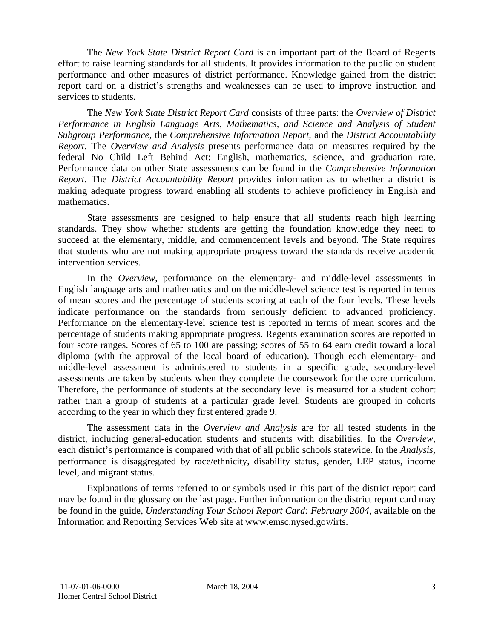The *New York State District Report Card* is an important part of the Board of Regents effort to raise learning standards for all students. It provides information to the public on student performance and other measures of district performance. Knowledge gained from the district report card on a district's strengths and weaknesses can be used to improve instruction and services to students.

The *New York State District Report Card* consists of three parts: the *Overview of District Performance in English Language Arts, Mathematics, and Science and Analysis of Student Subgroup Performance,* the *Comprehensive Information Report,* and the *District Accountability Report*. The *Overview and Analysis* presents performance data on measures required by the federal No Child Left Behind Act: English, mathematics, science, and graduation rate. Performance data on other State assessments can be found in the *Comprehensive Information Report*. The *District Accountability Report* provides information as to whether a district is making adequate progress toward enabling all students to achieve proficiency in English and mathematics.

State assessments are designed to help ensure that all students reach high learning standards. They show whether students are getting the foundation knowledge they need to succeed at the elementary, middle, and commencement levels and beyond. The State requires that students who are not making appropriate progress toward the standards receive academic intervention services.

In the *Overview*, performance on the elementary- and middle-level assessments in English language arts and mathematics and on the middle-level science test is reported in terms of mean scores and the percentage of students scoring at each of the four levels. These levels indicate performance on the standards from seriously deficient to advanced proficiency. Performance on the elementary-level science test is reported in terms of mean scores and the percentage of students making appropriate progress. Regents examination scores are reported in four score ranges. Scores of 65 to 100 are passing; scores of 55 to 64 earn credit toward a local diploma (with the approval of the local board of education). Though each elementary- and middle-level assessment is administered to students in a specific grade, secondary-level assessments are taken by students when they complete the coursework for the core curriculum. Therefore, the performance of students at the secondary level is measured for a student cohort rather than a group of students at a particular grade level. Students are grouped in cohorts according to the year in which they first entered grade 9.

The assessment data in the *Overview and Analysis* are for all tested students in the district, including general-education students and students with disabilities. In the *Overview*, each district's performance is compared with that of all public schools statewide. In the *Analysis*, performance is disaggregated by race/ethnicity, disability status, gender, LEP status, income level, and migrant status.

Explanations of terms referred to or symbols used in this part of the district report card may be found in the glossary on the last page. Further information on the district report card may be found in the guide, *Understanding Your School Report Card: February 2004*, available on the Information and Reporting Services Web site at www.emsc.nysed.gov/irts.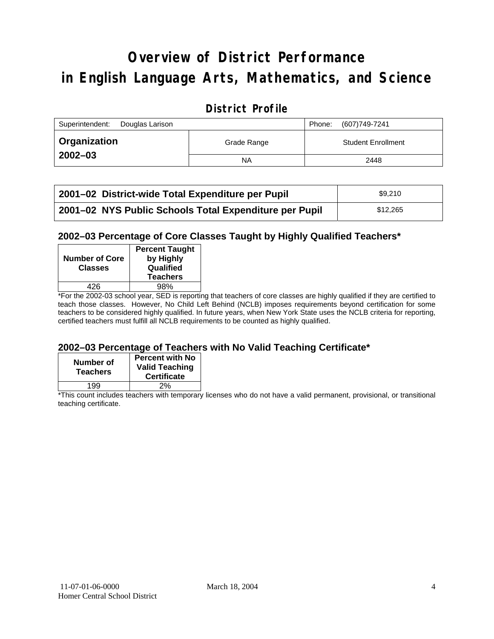# **Overview of District Performance in English Language Arts, Mathematics, and Science**

#### **District Profile**

| Superintendent:<br>Douglas Larison |             | Phone: | (607)749-7241             |
|------------------------------------|-------------|--------|---------------------------|
| ∣ Organization                     | Grade Range |        | <b>Student Enrollment</b> |
| $2002 - 03$                        | <b>NA</b>   |        | 2448                      |

| 2001–02 District-wide Total Expenditure per Pupil      | \$9.210  |
|--------------------------------------------------------|----------|
| 2001-02 NYS Public Schools Total Expenditure per Pupil | \$12,265 |

#### **2002–03 Percentage of Core Classes Taught by Highly Qualified Teachers\***

| <b>Number of Core</b><br><b>Classes</b> | <b>Percent Taught</b><br>by Highly<br>Qualified<br><b>Teachers</b> |
|-----------------------------------------|--------------------------------------------------------------------|
| 426                                     | 98%                                                                |
| . .<br>- -<br>----                      |                                                                    |

\*For the 2002-03 school year, SED is reporting that teachers of core classes are highly qualified if they are certified to teach those classes. However, No Child Left Behind (NCLB) imposes requirements beyond certification for some teachers to be considered highly qualified. In future years, when New York State uses the NCLB criteria for reporting, certified teachers must fulfill all NCLB requirements to be counted as highly qualified.

#### **2002–03 Percentage of Teachers with No Valid Teaching Certificate\***

| Number of<br><b>Teachers</b> | <b>Percent with No</b><br><b>Valid Teaching</b><br><b>Certificate</b> |
|------------------------------|-----------------------------------------------------------------------|
| 199                          | 2%                                                                    |

\*This count includes teachers with temporary licenses who do not have a valid permanent, provisional, or transitional teaching certificate.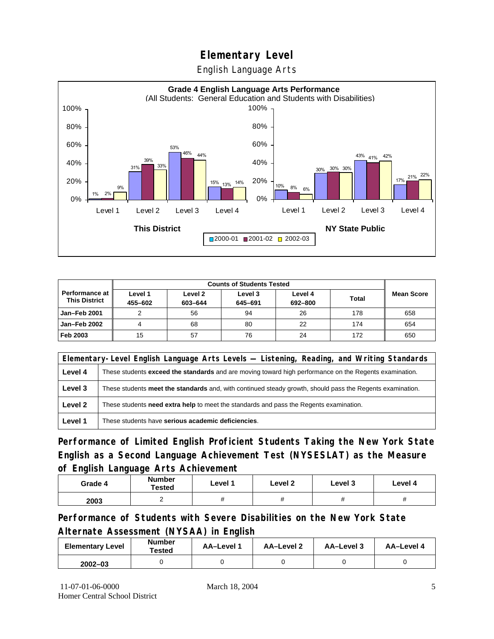English Language Arts



| <b>Counts of Students Tested</b>              |                    |                    |                    |                    |              |                   |
|-----------------------------------------------|--------------------|--------------------|--------------------|--------------------|--------------|-------------------|
| <b>Performance at</b><br><b>This District</b> | Level 1<br>455-602 | Level 2<br>603-644 | Level 3<br>645-691 | Level 4<br>692-800 | <b>Total</b> | <b>Mean Score</b> |
| Jan-Feb 2001                                  |                    | 56                 | 94                 | 26                 | 178          | 658               |
| Jan-Feb 2002                                  |                    | 68                 | 80                 | 22                 | 174          | 654               |
| Feb 2003                                      | 15                 | 57                 | 76                 | 24                 | 172          | 650               |

|         | Elementary-Level English Language Arts Levels — Listening, Reading, and Writing Standards                 |  |  |  |  |  |
|---------|-----------------------------------------------------------------------------------------------------------|--|--|--|--|--|
| Level 4 | These students exceed the standards and are moving toward high performance on the Regents examination.    |  |  |  |  |  |
| Level 3 | These students meet the standards and, with continued steady growth, should pass the Regents examination. |  |  |  |  |  |
| Level 2 | These students <b>need extra help</b> to meet the standards and pass the Regents examination.             |  |  |  |  |  |
| Level 1 | These students have serious academic deficiencies.                                                        |  |  |  |  |  |

**Performance of Limited English Proficient Students Taking the New York State English as a Second Language Achievement Test (NYSESLAT) as the Measure of English Language Arts Achievement**

| Grade 4 | <b>Number</b><br>Tested | Level 1 | Level 2 | Level 3  | Level 4  |
|---------|-------------------------|---------|---------|----------|----------|
| 2003    | <u>_</u>                | #       | π       | $^{\pi}$ | $^{\pi}$ |

**Performance of Students with Severe Disabilities on the New York State Alternate Assessment (NYSAA) in English** 

| <b>Elementary Level</b> | <b>Number</b><br>Tested | AA-Level 1 | AA-Level 2 | AA-Level 3 | AA-Level 4 |
|-------------------------|-------------------------|------------|------------|------------|------------|
| $2002 - 03$             |                         |            |            |            |            |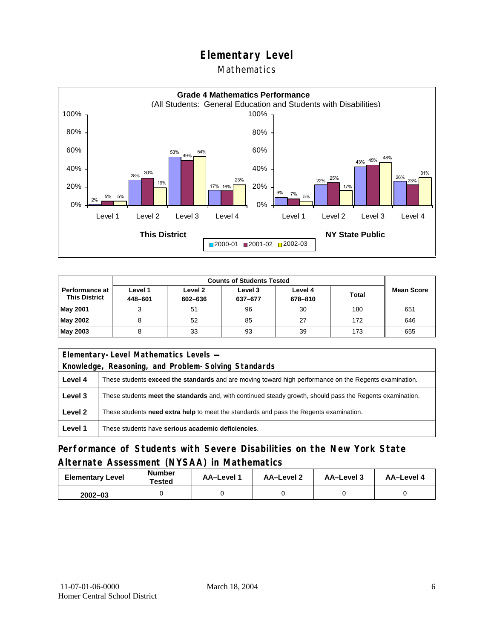#### Mathematics



| <b>Counts of Students Tested</b>                |                    |                    |                    |                    |              |                   |
|-------------------------------------------------|--------------------|--------------------|--------------------|--------------------|--------------|-------------------|
| <b>Performance at I</b><br><b>This District</b> | Level 1<br>448-601 | Level 2<br>602-636 | Level 3<br>637-677 | Level 4<br>678-810 | <b>Total</b> | <b>Mean Score</b> |
| <b>May 2001</b>                                 |                    | 51                 | 96                 | 30                 | 180          | 651               |
| May 2002                                        |                    | 52                 | 85                 | 27                 | 172          | 646               |
| May 2003                                        |                    | 33                 | 93                 | 39                 | 173          | 655               |

|         | Elementary-Level Mathematics Levels -                                                                         |  |  |  |  |
|---------|---------------------------------------------------------------------------------------------------------------|--|--|--|--|
|         | Knowledge, Reasoning, and Problem-Solving Standards                                                           |  |  |  |  |
| Level 4 | These students <b>exceed the standards</b> and are moving toward high performance on the Regents examination. |  |  |  |  |
| Level 3 | These students meet the standards and, with continued steady growth, should pass the Regents examination.     |  |  |  |  |
| Level 2 | These students need extra help to meet the standards and pass the Regents examination.                        |  |  |  |  |
| Level 1 | These students have serious academic deficiencies.                                                            |  |  |  |  |

#### **Performance of Students with Severe Disabilities on the New York State Alternate Assessment (NYSAA) in Mathematics**

| <b>Elementary Level</b> | <b>Number</b><br>Tested | AA-Level 1 | AA-Level 2 | AA-Level 3 | AA-Level 4 |
|-------------------------|-------------------------|------------|------------|------------|------------|
| $2002 - 03$             |                         |            |            |            |            |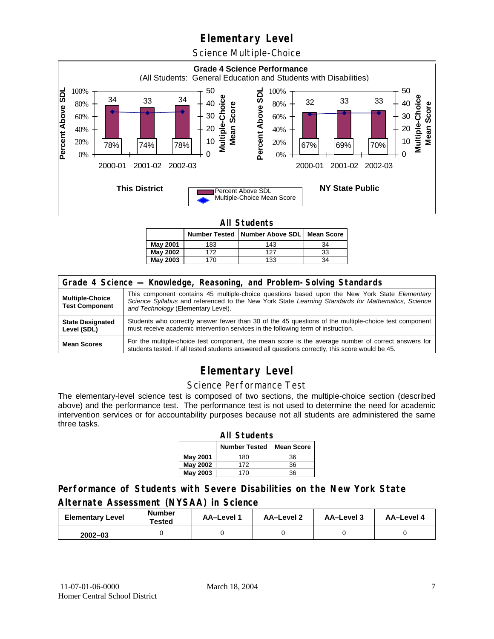Science Multiple-Choice



**All Students** 

|                 |     | Number Tested   Number Above SDL   Mean Score |    |  |  |  |  |
|-----------------|-----|-----------------------------------------------|----|--|--|--|--|
| May 2001        | 183 | 143                                           | 34 |  |  |  |  |
| <b>May 2002</b> | 172 | 127                                           | 33 |  |  |  |  |
| May 2003        |     | 133                                           | 34 |  |  |  |  |

| Grade 4 Science - Knowledge, Reasoning, and Problem-Solving Standards |                                                                                                                                                                                                                                          |  |  |  |  |
|-----------------------------------------------------------------------|------------------------------------------------------------------------------------------------------------------------------------------------------------------------------------------------------------------------------------------|--|--|--|--|
| <b>Multiple-Choice</b><br><b>Test Component</b>                       | This component contains 45 multiple-choice questions based upon the New York State Elementary<br>Science Syllabus and referenced to the New York State Learning Standards for Mathematics, Science<br>and Technology (Elementary Level). |  |  |  |  |
| <b>State Designated</b><br>Level (SDL)                                | Students who correctly answer fewer than 30 of the 45 questions of the multiple-choice test component<br>must receive academic intervention services in the following term of instruction.                                               |  |  |  |  |
| <b>Mean Scores</b>                                                    | For the multiple-choice test component, the mean score is the average number of correct answers for<br>students tested. If all tested students answered all questions correctly, this score would be 45.                                 |  |  |  |  |

## **Elementary Level**

#### Science Performance Test

The elementary-level science test is composed of two sections, the multiple-choice section (described above) and the performance test. The performance test is not used to determine the need for academic intervention services or for accountability purposes because not all students are administered the same three tasks.

| <b>All Students</b>                       |     |    |  |  |  |  |  |
|-------------------------------------------|-----|----|--|--|--|--|--|
| <b>Number Tested</b><br><b>Mean Score</b> |     |    |  |  |  |  |  |
| May 2001                                  | 180 | 36 |  |  |  |  |  |
| May 2002                                  | 172 | 36 |  |  |  |  |  |
| <b>May 2003</b><br>36<br>170              |     |    |  |  |  |  |  |

#### **Performance of Students with Severe Disabilities on the New York State Alternate Assessment (NYSAA) in Science**

| <b>Elementary Level</b> | <b>Number</b><br>Tested | AA-Level | <b>AA-Level 2</b> | AA-Level 3 | AA-Level 4 |
|-------------------------|-------------------------|----------|-------------------|------------|------------|
| $2002 - 03$             |                         |          |                   |            |            |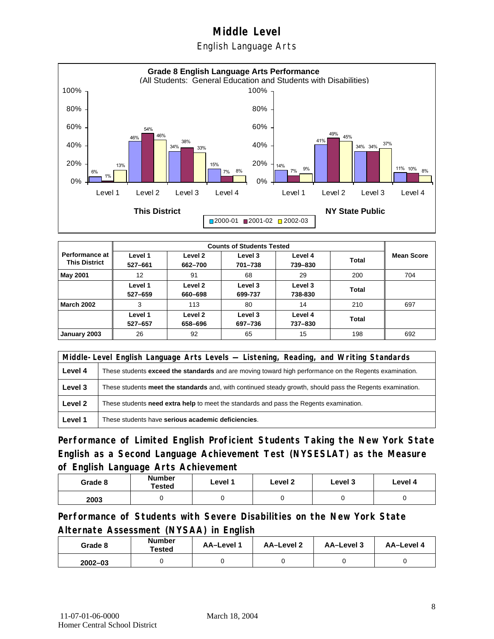English Language Arts



|                                          |                    | <b>Counts of Students Tested</b> |                    |                    |       |                   |  |  |
|------------------------------------------|--------------------|----------------------------------|--------------------|--------------------|-------|-------------------|--|--|
| Performance at I<br><b>This District</b> | Level 1<br>527-661 | Level 2<br>662-700               | Level 3<br>701-738 | Level 4<br>739-830 | Total | <b>Mean Score</b> |  |  |
| <b>May 2001</b>                          | 12                 | 91                               | 68                 | 29                 | 200   | 704               |  |  |
|                                          | Level 1<br>527-659 | Level 2<br>660-698               | Level 3<br>699-737 | Level 3<br>738-830 | Total |                   |  |  |
| <b>March 2002</b>                        | 3                  | 113                              | 80                 | 14                 | 210   | 697               |  |  |
|                                          | Level 1<br>527-657 | Level 2<br>658-696               | Level 3<br>697-736 | Level 4<br>737-830 | Total |                   |  |  |
| January 2003                             | 26                 | 92                               | 65                 | 15                 | 198   | 692               |  |  |

|         | Middle-Level English Language Arts Levels — Listening, Reading, and Writing Standards                         |  |  |  |  |
|---------|---------------------------------------------------------------------------------------------------------------|--|--|--|--|
| Level 4 | These students <b>exceed the standards</b> and are moving toward high performance on the Regents examination. |  |  |  |  |
| Level 3 | These students meet the standards and, with continued steady growth, should pass the Regents examination.     |  |  |  |  |
| Level 2 | These students <b>need extra help</b> to meet the standards and pass the Regents examination.                 |  |  |  |  |
| Level 1 | These students have serious academic deficiencies.                                                            |  |  |  |  |

**Performance of Limited English Proficient Students Taking the New York State English as a Second Language Achievement Test (NYSESLAT) as the Measure of English Language Arts Achievement**

| Grade 8 | <b>Number</b><br>Tested | Level 1 | Level 2 | Level 3 | Level 4 |
|---------|-------------------------|---------|---------|---------|---------|
| 2003    |                         |         |         |         |         |

**Performance of Students with Severe Disabilities on the New York State Alternate Assessment (NYSAA) in English** 

| Grade 8     | <b>Number</b><br>Tested | AA-Level 1 | AA-Level 2 | AA-Level 3 | AA-Level 4 |
|-------------|-------------------------|------------|------------|------------|------------|
| $2002 - 03$ |                         |            |            |            |            |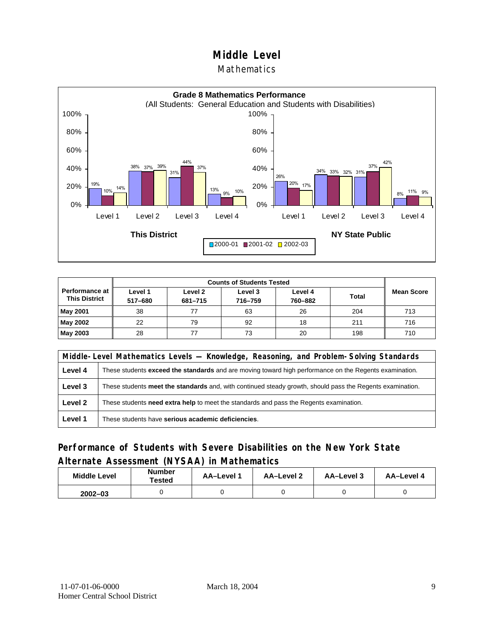#### Mathematics



| Performance at<br><b>This District</b> | Level 1<br>517-680 | Level 2<br>681-715 | Level 3<br>716-759 | Level 4<br>760-882 | <b>Total</b> | <b>Mean Score</b> |
|----------------------------------------|--------------------|--------------------|--------------------|--------------------|--------------|-------------------|
| <b>May 2001</b>                        | 38                 | 77                 | 63                 | 26                 | 204          | 713               |
| May 2002                               | 22                 | 79                 | 92                 | 18                 | 211          | 716               |
| May 2003                               | 28                 |                    | 73                 | 20                 | 198          | 710               |

|         | Middle-Level Mathematics Levels — Knowledge, Reasoning, and Problem-Solving Standards                         |  |  |  |  |
|---------|---------------------------------------------------------------------------------------------------------------|--|--|--|--|
| Level 4 | These students <b>exceed the standards</b> and are moving toward high performance on the Regents examination. |  |  |  |  |
| Level 3 | These students meet the standards and, with continued steady growth, should pass the Regents examination.     |  |  |  |  |
| Level 2 | These students <b>need extra help</b> to meet the standards and pass the Regents examination.                 |  |  |  |  |
| Level 1 | These students have serious academic deficiencies.                                                            |  |  |  |  |

#### **Performance of Students with Severe Disabilities on the New York State Alternate Assessment (NYSAA) in Mathematics**

| <b>Middle Level</b> | <b>Number</b><br>Tested | AA-Level | AA-Level 2 | AA-Level 3 | AA-Level 4 |
|---------------------|-------------------------|----------|------------|------------|------------|
| $2002 - 03$         |                         |          |            |            |            |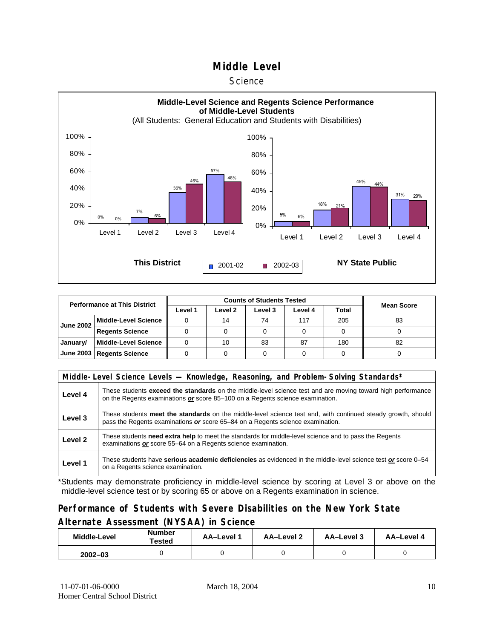#### **Science**



| <b>Performance at This District</b> |                             |         |                 |         |         |       |                   |
|-------------------------------------|-----------------------------|---------|-----------------|---------|---------|-------|-------------------|
|                                     |                             | Level 1 | Level 2         | Level 3 | Level 4 | Total | <b>Mean Score</b> |
| <b>June 2002</b>                    | <b>Middle-Level Science</b> |         | 14              | 74      | 117     | 205   | 83                |
|                                     | <b>Regents Science</b>      |         |                 |         |         |       |                   |
| January/                            | <b>Middle-Level Science</b> |         | 10 <sup>1</sup> | 83      | 87      | 180   | 82                |
|                                     | June 2003   Regents Science |         |                 |         |         |       |                   |

|         | Middle-Level Science Levels — Knowledge, Reasoning, and Problem-Solving Standards*                                                                                                             |  |  |  |  |  |  |  |
|---------|------------------------------------------------------------------------------------------------------------------------------------------------------------------------------------------------|--|--|--|--|--|--|--|
| Level 4 | These students exceed the standards on the middle-level science test and are moving toward high performance<br>on the Regents examinations or score 85-100 on a Regents science examination.   |  |  |  |  |  |  |  |
| Level 3 | These students meet the standards on the middle-level science test and, with continued steady growth, should<br>pass the Regents examinations or score 65–84 on a Regents science examination. |  |  |  |  |  |  |  |
| Level 2 | These students need extra help to meet the standards for middle-level science and to pass the Regents<br>examinations or score 55-64 on a Regents science examination.                         |  |  |  |  |  |  |  |
| Level 1 | These students have serious academic deficiencies as evidenced in the middle-level science test or score 0–54<br>on a Regents science examination.                                             |  |  |  |  |  |  |  |

\*Students may demonstrate proficiency in middle-level science by scoring at Level 3 or above on the middle-level science test or by scoring 65 or above on a Regents examination in science.

#### **Performance of Students with Severe Disabilities on the New York State Alternate Assessment (NYSAA) in Science**

| Middle-Level | Number<br>Tested | <b>AA-Level 1</b> | AA-Level 2 | AA-Level 3 | AA-Level 4 |  |
|--------------|------------------|-------------------|------------|------------|------------|--|
| $2002 - 03$  |                  |                   |            |            |            |  |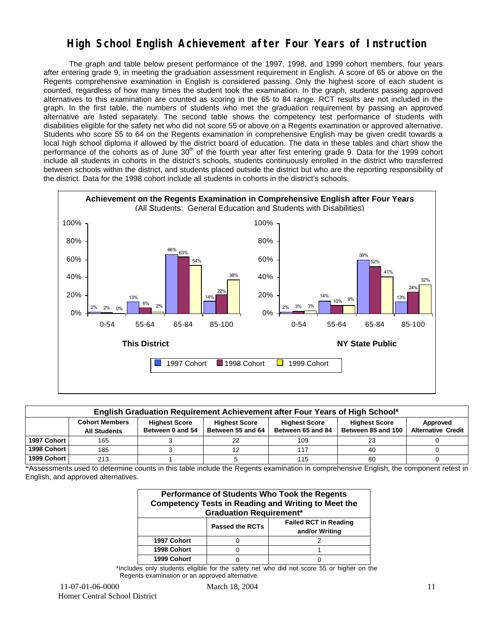### **High School English Achievement after Four Years of Instruction**

 The graph and table below present performance of the 1997, 1998, and 1999 cohort members, four years after entering grade 9, in meeting the graduation assessment requirement in English. A score of 65 or above on the Regents comprehensive examination in English is considered passing. Only the highest score of each student is counted, regardless of how many times the student took the examination. In the graph, students passing approved alternatives to this examination are counted as scoring in the 65 to 84 range. RCT results are not included in the graph. In the first table, the numbers of students who met the graduation requirement by passing an approved alternative are listed separately. The second table shows the competency test performance of students with disabilities eligible for the safety net who did not score 55 or above on a Regents examination or approved alternative. Students who score 55 to 64 on the Regents examination in comprehensive English may be given credit towards a local high school diploma if allowed by the district board of education. The data in these tables and chart show the performance of the cohorts as of June  $30<sup>th</sup>$  of the fourth year after first entering grade 9. Data for the 1999 cohort include all students in cohorts in the district's schools, students continuously enrolled in the district who transferred between schools within the district, and students placed outside the district but who are the reporting responsibility of the district. Data for the 1998 cohort include all students in cohorts in the district's schools.



| English Graduation Requirement Achievement after Four Years of High School* |                                                                                                                                                                                                                                                               |  |  |     |    |  |  |  |  |  |  |  |
|-----------------------------------------------------------------------------|---------------------------------------------------------------------------------------------------------------------------------------------------------------------------------------------------------------------------------------------------------------|--|--|-----|----|--|--|--|--|--|--|--|
|                                                                             | <b>Cohort Members</b><br><b>Highest Score</b><br><b>Highest Score</b><br><b>Highest Score</b><br><b>Highest Score</b><br><b>Alternative Credit</b><br>Between 55 and 64<br>Between 0 and 54<br>Between 65 and 84<br>Between 85 and 100<br><b>All Students</b> |  |  |     |    |  |  |  |  |  |  |  |
| 1997 Cohort                                                                 | 165                                                                                                                                                                                                                                                           |  |  | 109 | 23 |  |  |  |  |  |  |  |
| 1998 Cohort                                                                 | 185                                                                                                                                                                                                                                                           |  |  |     | 40 |  |  |  |  |  |  |  |
| 1999 Cohort                                                                 | 213                                                                                                                                                                                                                                                           |  |  | 115 | 80 |  |  |  |  |  |  |  |

\*Assessments used to determine counts in this table include the Regents examination in comprehensive English, the component retest in English, and approved alternatives.

| Performance of Students Who Took the Regents<br><b>Competency Tests in Reading and Writing to Meet the</b><br><b>Graduation Requirement*</b> |                                                                          |  |  |  |  |  |  |  |  |
|----------------------------------------------------------------------------------------------------------------------------------------------|--------------------------------------------------------------------------|--|--|--|--|--|--|--|--|
|                                                                                                                                              | <b>Failed RCT in Reading</b><br><b>Passed the RCTs</b><br>and/or Writing |  |  |  |  |  |  |  |  |
| 1997 Cohort                                                                                                                                  |                                                                          |  |  |  |  |  |  |  |  |
| 1998 Cohort                                                                                                                                  |                                                                          |  |  |  |  |  |  |  |  |
| 1999 Cohort                                                                                                                                  |                                                                          |  |  |  |  |  |  |  |  |

\*Includes only students eligible for the safety net who did not score 55 or higher on the Regents examination or an approved alternative.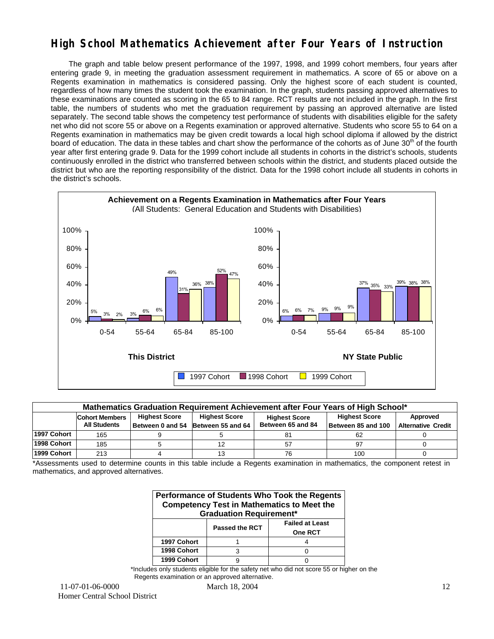### **High School Mathematics Achievement after Four Years of Instruction**

 The graph and table below present performance of the 1997, 1998, and 1999 cohort members, four years after entering grade 9, in meeting the graduation assessment requirement in mathematics. A score of 65 or above on a Regents examination in mathematics is considered passing. Only the highest score of each student is counted, regardless of how many times the student took the examination. In the graph, students passing approved alternatives to these examinations are counted as scoring in the 65 to 84 range. RCT results are not included in the graph. In the first table, the numbers of students who met the graduation requirement by passing an approved alternative are listed separately. The second table shows the competency test performance of students with disabilities eligible for the safety net who did not score 55 or above on a Regents examination or approved alternative. Students who score 55 to 64 on a Regents examination in mathematics may be given credit towards a local high school diploma if allowed by the district board of education. The data in these tables and chart show the performance of the cohorts as of June 30<sup>th</sup> of the fourth year after first entering grade 9. Data for the 1999 cohort include all students in cohorts in the district's schools, students continuously enrolled in the district who transferred between schools within the district, and students placed outside the district but who are the reporting responsibility of the district. Data for the 1998 cohort include all students in cohorts in the district's schools.



| Mathematics Graduation Requirement Achievement after Four Years of High School* |                                                                                                                                   |  |                                    |                   |                    |                           |  |  |  |  |
|---------------------------------------------------------------------------------|-----------------------------------------------------------------------------------------------------------------------------------|--|------------------------------------|-------------------|--------------------|---------------------------|--|--|--|--|
|                                                                                 | <b>Highest Score</b><br><b>Highest Score</b><br><b>Highest Score</b><br>Approved<br><b>Cohort Members</b><br><b>Highest Score</b> |  |                                    |                   |                    |                           |  |  |  |  |
|                                                                                 | <b>All Students</b>                                                                                                               |  | Between 0 and 54 Between 55 and 64 | Between 65 and 84 | Between 85 and 100 | <b>Alternative Credit</b> |  |  |  |  |
| 1997 Cohort                                                                     | 165                                                                                                                               |  |                                    |                   | 62                 |                           |  |  |  |  |
| 1998 Cohort                                                                     | 185                                                                                                                               |  |                                    | 57                | 97                 |                           |  |  |  |  |
| 1999 Cohort                                                                     | 213                                                                                                                               |  |                                    |                   | 100                |                           |  |  |  |  |

\*Assessments used to determine counts in this table include a Regents examination in mathematics, the component retest in mathematics, and approved alternatives.

| Performance of Students Who Took the Regents<br><b>Competency Test in Mathematics to Meet the</b><br><b>Graduation Requirement*</b> |  |  |  |  |  |  |  |  |
|-------------------------------------------------------------------------------------------------------------------------------------|--|--|--|--|--|--|--|--|
| <b>Failed at Least</b><br><b>Passed the RCT</b><br>One RCT                                                                          |  |  |  |  |  |  |  |  |
| 1997 Cohort                                                                                                                         |  |  |  |  |  |  |  |  |
| 1998 Cohort                                                                                                                         |  |  |  |  |  |  |  |  |
| 1999 Cohort                                                                                                                         |  |  |  |  |  |  |  |  |

\*Includes only students eligible for the safety net who did not score 55 or higher on the Regents examination or an approved alternative.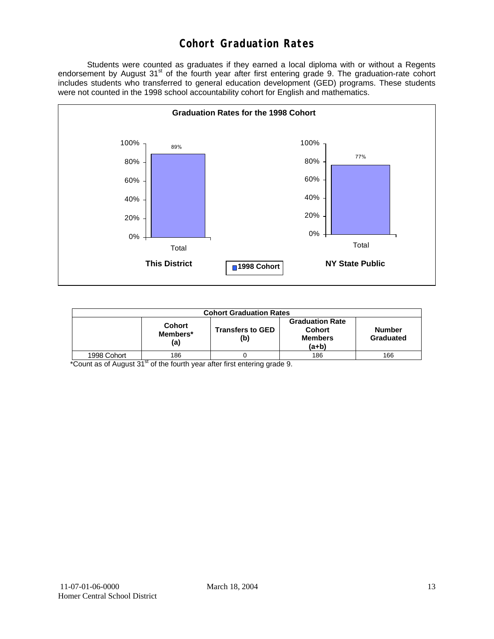## **Cohort Graduation Rates**

 Students were counted as graduates if they earned a local diploma with or without a Regents endorsement by August 31<sup>st</sup> of the fourth year after first entering grade 9. The graduation-rate cohort includes students who transferred to general education development (GED) programs. These students were not counted in the 1998 school accountability cohort for English and mathematics.



| <b>Cohort Graduation Rates</b> |                                  |                                |                                                               |                            |  |  |  |  |  |
|--------------------------------|----------------------------------|--------------------------------|---------------------------------------------------------------|----------------------------|--|--|--|--|--|
|                                | <b>Cohort</b><br>Members*<br>(a) | <b>Transfers to GED</b><br>(b) | <b>Graduation Rate</b><br>Cohort<br><b>Members</b><br>$(a+b)$ | <b>Number</b><br>Graduated |  |  |  |  |  |
| 1998 Cohort                    | 186                              |                                | 186                                                           | 166                        |  |  |  |  |  |

 $*$ Count as of August 31 $*$  of the fourth year after first entering grade 9.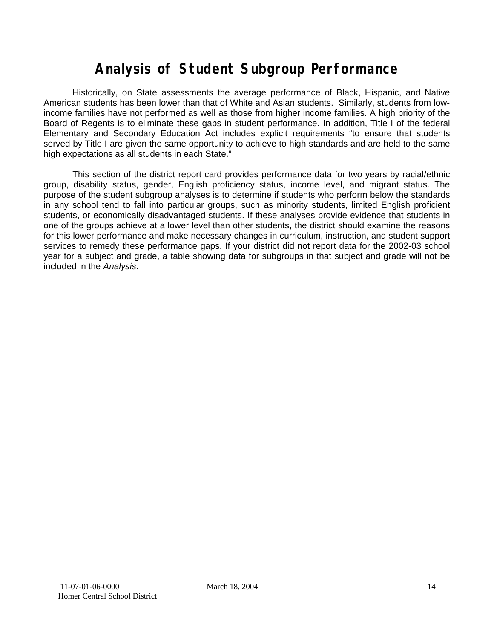## **Analysis of Student Subgroup Performance**

Historically, on State assessments the average performance of Black, Hispanic, and Native American students has been lower than that of White and Asian students. Similarly, students from lowincome families have not performed as well as those from higher income families. A high priority of the Board of Regents is to eliminate these gaps in student performance. In addition, Title I of the federal Elementary and Secondary Education Act includes explicit requirements "to ensure that students served by Title I are given the same opportunity to achieve to high standards and are held to the same high expectations as all students in each State."

This section of the district report card provides performance data for two years by racial/ethnic group, disability status, gender, English proficiency status, income level, and migrant status. The purpose of the student subgroup analyses is to determine if students who perform below the standards in any school tend to fall into particular groups, such as minority students, limited English proficient students, or economically disadvantaged students. If these analyses provide evidence that students in one of the groups achieve at a lower level than other students, the district should examine the reasons for this lower performance and make necessary changes in curriculum, instruction, and student support services to remedy these performance gaps. If your district did not report data for the 2002-03 school year for a subject and grade, a table showing data for subgroups in that subject and grade will not be included in the *Analysis*.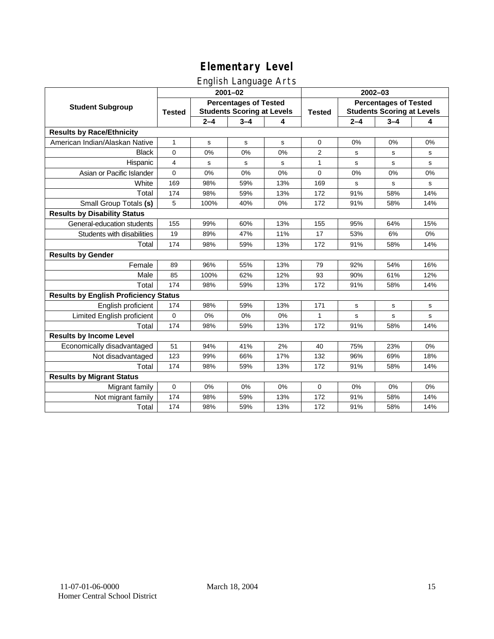#### English Language Arts

|                                              |                                                                                    |         | ັ<br>$2001 - 02$ |               | 2002-03                                                           |             |             |       |
|----------------------------------------------|------------------------------------------------------------------------------------|---------|------------------|---------------|-------------------------------------------------------------------|-------------|-------------|-------|
| <b>Student Subgroup</b>                      | <b>Percentages of Tested</b><br><b>Students Scoring at Levels</b><br><b>Tested</b> |         |                  | <b>Tested</b> | <b>Percentages of Tested</b><br><b>Students Scoring at Levels</b> |             |             |       |
|                                              |                                                                                    | $2 - 4$ | $3 - 4$          | 4             |                                                                   | $2 - 4$     | $3 - 4$     | 4     |
| <b>Results by Race/Ethnicity</b>             |                                                                                    |         |                  |               |                                                                   |             |             |       |
| American Indian/Alaskan Native               | $\mathbf{1}$                                                                       | s       | $\mathbf s$      | s             | 0                                                                 | 0%          | 0%          | 0%    |
| <b>Black</b>                                 | $\mathbf 0$                                                                        | 0%      | 0%               | 0%            | 2                                                                 | s           | s           | s     |
| Hispanic                                     | 4                                                                                  | s       | s                | s             | $\mathbf{1}$                                                      | s           | s           | s     |
| Asian or Pacific Islander                    | $\mathbf 0$                                                                        | 0%      | 0%               | 0%            | 0                                                                 | 0%          | 0%          | 0%    |
| White                                        | 169                                                                                | 98%     | 59%              | 13%           | 169                                                               | $\mathbf s$ | $\mathbf s$ | s     |
| Total                                        | 174                                                                                | 98%     | 59%              | 13%           | 172                                                               | 91%         | 58%         | 14%   |
| Small Group Totals (s)                       | 5                                                                                  | 100%    | 40%              | 0%            | 172                                                               | 91%         | 58%         | 14%   |
| <b>Results by Disability Status</b>          |                                                                                    |         |                  |               |                                                                   |             |             |       |
| General-education students                   | 155                                                                                | 99%     | 60%              | 13%           | 155                                                               | 95%         | 64%         | 15%   |
| Students with disabilities                   | 19                                                                                 | 89%     | 47%              | 11%           | 17                                                                | 53%         | 6%          | $0\%$ |
| Total                                        | 174                                                                                | 98%     | 59%              | 13%           | 172                                                               | 91%         | 58%         | 14%   |
| <b>Results by Gender</b>                     |                                                                                    |         |                  |               |                                                                   |             |             |       |
| Female                                       | 89                                                                                 | 96%     | 55%              | 13%           | 79                                                                | 92%         | 54%         | 16%   |
| Male                                         | 85                                                                                 | 100%    | 62%              | 12%           | 93                                                                | 90%         | 61%         | 12%   |
| Total                                        | 174                                                                                | 98%     | 59%              | 13%           | 172                                                               | 91%         | 58%         | 14%   |
| <b>Results by English Proficiency Status</b> |                                                                                    |         |                  |               |                                                                   |             |             |       |
| English proficient                           | 174                                                                                | 98%     | 59%              | 13%           | 171                                                               | $\mathbf s$ | s           | s     |
| Limited English proficient                   | $\mathbf 0$                                                                        | 0%      | 0%               | 0%            | $\mathbf{1}$                                                      | $\mathbf s$ | $\mathbf s$ | s     |
| Total                                        | 174                                                                                | 98%     | 59%              | 13%           | 172                                                               | 91%         | 58%         | 14%   |
| <b>Results by Income Level</b>               |                                                                                    |         |                  |               |                                                                   |             |             |       |
| Economically disadvantaged                   | 51                                                                                 | 94%     | 41%              | 2%            | 40                                                                | 75%         | 23%         | 0%    |
| Not disadvantaged                            | 123                                                                                | 99%     | 66%              | 17%           | 132                                                               | 96%         | 69%         | 18%   |
| Total                                        | 174                                                                                | 98%     | 59%              | 13%           | 172                                                               | 91%         | 58%         | 14%   |
| <b>Results by Migrant Status</b>             |                                                                                    |         |                  |               |                                                                   |             |             |       |
| Migrant family                               | $\mathbf 0$                                                                        | 0%      | 0%               | 0%            | 0                                                                 | 0%          | 0%          | 0%    |
| Not migrant family                           | 174                                                                                | 98%     | 59%              | 13%           | 172                                                               | 91%         | 58%         | 14%   |
| Total                                        | 174                                                                                | 98%     | 59%              | 13%           | 172                                                               | 91%         | 58%         | 14%   |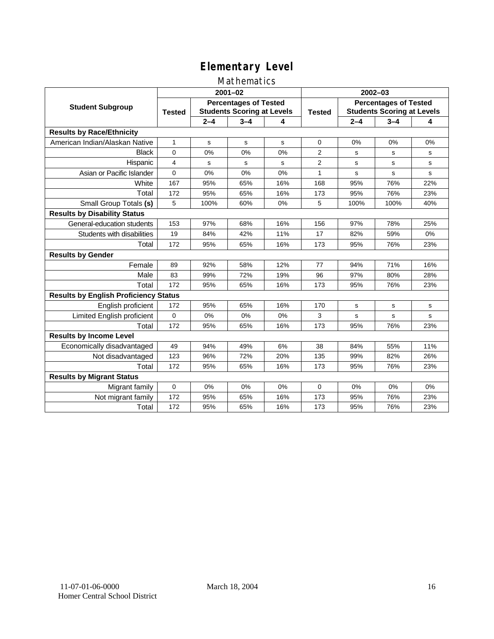#### Mathematics

|                                              | $2001 - 02$                                                                        |         |         |               | $2002 - 03$                                                       |         |         |     |
|----------------------------------------------|------------------------------------------------------------------------------------|---------|---------|---------------|-------------------------------------------------------------------|---------|---------|-----|
| <b>Student Subgroup</b>                      | <b>Percentages of Tested</b><br><b>Students Scoring at Levels</b><br><b>Tested</b> |         |         | <b>Tested</b> | <b>Percentages of Tested</b><br><b>Students Scoring at Levels</b> |         |         |     |
|                                              |                                                                                    | $2 - 4$ | $3 - 4$ | 4             |                                                                   | $2 - 4$ | $3 - 4$ | 4   |
| <b>Results by Race/Ethnicity</b>             |                                                                                    |         |         |               |                                                                   |         |         |     |
| American Indian/Alaskan Native               | $\mathbf{1}$                                                                       | s       | s       | s             | $\Omega$                                                          | 0%      | 0%      | 0%  |
| <b>Black</b>                                 | 0                                                                                  | 0%      | 0%      | 0%            | $\overline{2}$                                                    | s       | s       | s   |
| Hispanic                                     | 4                                                                                  | s       | s       | s             | 2                                                                 | s       | s       | s   |
| Asian or Pacific Islander                    | 0                                                                                  | 0%      | 0%      | 0%            | 1                                                                 | s       | s       | s   |
| White                                        | 167                                                                                | 95%     | 65%     | 16%           | 168                                                               | 95%     | 76%     | 22% |
| Total                                        | 172                                                                                | 95%     | 65%     | 16%           | 173                                                               | 95%     | 76%     | 23% |
| Small Group Totals (s)                       | 5                                                                                  | 100%    | 60%     | 0%            | 5                                                                 | 100%    | 100%    | 40% |
| <b>Results by Disability Status</b>          |                                                                                    |         |         |               |                                                                   |         |         |     |
| General-education students                   | 153                                                                                | 97%     | 68%     | 16%           | 156                                                               | 97%     | 78%     | 25% |
| Students with disabilities                   | 19                                                                                 | 84%     | 42%     | 11%           | 17                                                                | 82%     | 59%     | 0%  |
| Total                                        | 172                                                                                | 95%     | 65%     | 16%           | 173                                                               | 95%     | 76%     | 23% |
| <b>Results by Gender</b>                     |                                                                                    |         |         |               |                                                                   |         |         |     |
| Female                                       | 89                                                                                 | 92%     | 58%     | 12%           | 77                                                                | 94%     | 71%     | 16% |
| Male                                         | 83                                                                                 | 99%     | 72%     | 19%           | 96                                                                | 97%     | 80%     | 28% |
| Total                                        | 172                                                                                | 95%     | 65%     | 16%           | 173                                                               | 95%     | 76%     | 23% |
| <b>Results by English Proficiency Status</b> |                                                                                    |         |         |               |                                                                   |         |         |     |
| English proficient                           | 172                                                                                | 95%     | 65%     | 16%           | 170                                                               | s       | s       | s   |
| Limited English proficient                   | $\Omega$                                                                           | 0%      | 0%      | 0%            | 3                                                                 | s       | s       | s   |
| Total                                        | 172                                                                                | 95%     | 65%     | 16%           | 173                                                               | 95%     | 76%     | 23% |
| <b>Results by Income Level</b>               |                                                                                    |         |         |               |                                                                   |         |         |     |
| Economically disadvantaged                   | 49                                                                                 | 94%     | 49%     | 6%            | 38                                                                | 84%     | 55%     | 11% |
| Not disadvantaged                            | 123                                                                                | 96%     | 72%     | 20%           | 135                                                               | 99%     | 82%     | 26% |
| Total                                        | 172                                                                                | 95%     | 65%     | 16%           | 173                                                               | 95%     | 76%     | 23% |
| <b>Results by Migrant Status</b>             |                                                                                    |         |         |               |                                                                   |         |         |     |
| Migrant family                               | 0                                                                                  | 0%      | 0%      | 0%            | $\Omega$                                                          | 0%      | 0%      | 0%  |
| Not migrant family                           | 172                                                                                | 95%     | 65%     | 16%           | 173                                                               | 95%     | 76%     | 23% |
| Total                                        | 172                                                                                | 95%     | 65%     | 16%           | 173                                                               | 95%     | 76%     | 23% |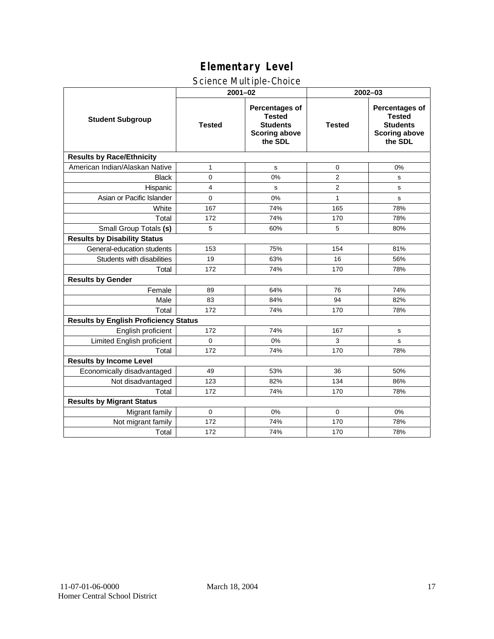#### Science Multiple-Choice

|                                              | $2001 - 02$   |                                                                                              | 2002-03        |                                                                                              |  |  |
|----------------------------------------------|---------------|----------------------------------------------------------------------------------------------|----------------|----------------------------------------------------------------------------------------------|--|--|
| <b>Student Subgroup</b>                      | <b>Tested</b> | <b>Percentages of</b><br><b>Tested</b><br><b>Students</b><br><b>Scoring above</b><br>the SDL | <b>Tested</b>  | <b>Percentages of</b><br><b>Tested</b><br><b>Students</b><br><b>Scoring above</b><br>the SDL |  |  |
| <b>Results by Race/Ethnicity</b>             |               |                                                                                              |                |                                                                                              |  |  |
| American Indian/Alaskan Native               | 1             | s                                                                                            | 0              | 0%                                                                                           |  |  |
| <b>Black</b>                                 | 0             | 0%                                                                                           | $\overline{2}$ | ${\tt s}$                                                                                    |  |  |
| Hispanic                                     | 4             | s                                                                                            | 2              | s                                                                                            |  |  |
| Asian or Pacific Islander                    | 0             | 0%                                                                                           | $\mathbf{1}$   | s                                                                                            |  |  |
| White                                        | 167           | 74%                                                                                          | 165            | 78%                                                                                          |  |  |
| Total                                        | 172           | 74%                                                                                          | 170            | 78%                                                                                          |  |  |
| Small Group Totals (s)                       | 5             | 60%                                                                                          | 5              | 80%                                                                                          |  |  |
| <b>Results by Disability Status</b>          |               |                                                                                              |                |                                                                                              |  |  |
| General-education students                   | 153           | 75%                                                                                          | 154            | 81%                                                                                          |  |  |
| Students with disabilities                   | 19            | 63%                                                                                          | 16             | 56%                                                                                          |  |  |
| Total                                        | 172           | 74%                                                                                          | 170            | 78%                                                                                          |  |  |
| <b>Results by Gender</b>                     |               |                                                                                              |                |                                                                                              |  |  |
| Female                                       | 89            | 64%                                                                                          | 76             | 74%                                                                                          |  |  |
| Male                                         | 83            | 84%                                                                                          | 94             | 82%                                                                                          |  |  |
| Total                                        | 172           | 74%                                                                                          | 170            | 78%                                                                                          |  |  |
| <b>Results by English Proficiency Status</b> |               |                                                                                              |                |                                                                                              |  |  |
| English proficient                           | 172           | 74%                                                                                          | 167            | s                                                                                            |  |  |
| Limited English proficient                   | $\Omega$      | 0%                                                                                           | 3              | s                                                                                            |  |  |
| Total                                        | 172           | 74%                                                                                          | 170            | 78%                                                                                          |  |  |
| <b>Results by Income Level</b>               |               |                                                                                              |                |                                                                                              |  |  |
| Economically disadvantaged                   | 49            | 53%                                                                                          | 36             | 50%                                                                                          |  |  |
| Not disadvantaged                            | 123           | 82%                                                                                          | 134            | 86%                                                                                          |  |  |
| Total                                        | 172           | 74%                                                                                          | 170            | 78%                                                                                          |  |  |
| <b>Results by Migrant Status</b>             |               |                                                                                              |                |                                                                                              |  |  |
| Migrant family                               | $\mathbf 0$   | 0%                                                                                           | 0              | 0%                                                                                           |  |  |
| Not migrant family                           | 172           | 74%                                                                                          | 170            | 78%                                                                                          |  |  |
| Total                                        | 172           | 74%                                                                                          | 170            | 78%                                                                                          |  |  |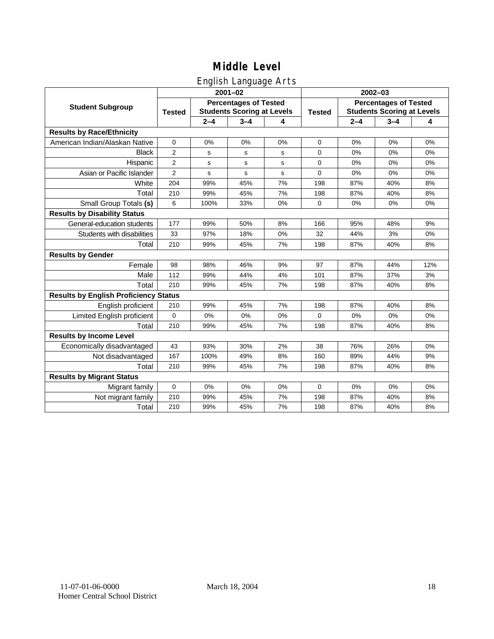### English Language Arts

|                                              | $2001 - 02$                                                                        |         |         |               | 2002-03                                                           |         |         |     |
|----------------------------------------------|------------------------------------------------------------------------------------|---------|---------|---------------|-------------------------------------------------------------------|---------|---------|-----|
| <b>Student Subgroup</b>                      | <b>Percentages of Tested</b><br><b>Students Scoring at Levels</b><br><b>Tested</b> |         |         | <b>Tested</b> | <b>Percentages of Tested</b><br><b>Students Scoring at Levels</b> |         |         |     |
|                                              |                                                                                    | $2 - 4$ | $3 - 4$ | 4             |                                                                   | $2 - 4$ | $3 - 4$ | 4   |
| <b>Results by Race/Ethnicity</b>             |                                                                                    |         |         |               |                                                                   |         |         |     |
| American Indian/Alaskan Native               | $\mathbf 0$                                                                        | 0%      | 0%      | 0%            | $\mathbf 0$                                                       | 0%      | 0%      | 0%  |
| <b>Black</b>                                 | 2                                                                                  | s       | s       | s             | $\Omega$                                                          | 0%      | 0%      | 0%  |
| Hispanic                                     | $\overline{2}$                                                                     | s       | s       | s             | $\mathbf 0$                                                       | 0%      | 0%      | 0%  |
| Asian or Pacific Islander                    | $\overline{2}$                                                                     | s       | s       | s             | $\mathbf 0$                                                       | 0%      | 0%      | 0%  |
| White                                        | 204                                                                                | 99%     | 45%     | 7%            | 198                                                               | 87%     | 40%     | 8%  |
| Total                                        | 210                                                                                | 99%     | 45%     | 7%            | 198                                                               | 87%     | 40%     | 8%  |
| Small Group Totals (s)                       | 6                                                                                  | 100%    | 33%     | 0%            | 0                                                                 | 0%      | 0%      | 0%  |
| <b>Results by Disability Status</b>          |                                                                                    |         |         |               |                                                                   |         |         |     |
| General-education students                   | 177                                                                                | 99%     | 50%     | 8%            | 166                                                               | 95%     | 48%     | 9%  |
| Students with disabilities                   | 33                                                                                 | 97%     | 18%     | 0%            | 32                                                                | 44%     | 3%      | 0%  |
| Total                                        | 210                                                                                | 99%     | 45%     | 7%            | 198                                                               | 87%     | 40%     | 8%  |
| <b>Results by Gender</b>                     |                                                                                    |         |         |               |                                                                   |         |         |     |
| Female                                       | 98                                                                                 | 98%     | 46%     | 9%            | 97                                                                | 87%     | 44%     | 12% |
| Male                                         | 112                                                                                | 99%     | 44%     | 4%            | 101                                                               | 87%     | 37%     | 3%  |
| Total                                        | 210                                                                                | 99%     | 45%     | 7%            | 198                                                               | 87%     | 40%     | 8%  |
| <b>Results by English Proficiency Status</b> |                                                                                    |         |         |               |                                                                   |         |         |     |
| English proficient                           | 210                                                                                | 99%     | 45%     | 7%            | 198                                                               | 87%     | 40%     | 8%  |
| Limited English proficient                   | $\mathbf{0}$                                                                       | 0%      | 0%      | 0%            | $\Omega$                                                          | 0%      | 0%      | 0%  |
| Total                                        | 210                                                                                | 99%     | 45%     | 7%            | 198                                                               | 87%     | 40%     | 8%  |
| <b>Results by Income Level</b>               |                                                                                    |         |         |               |                                                                   |         |         |     |
| Economically disadvantaged                   | 43                                                                                 | 93%     | 30%     | 2%            | 38                                                                | 76%     | 26%     | 0%  |
| Not disadvantaged                            | 167                                                                                | 100%    | 49%     | 8%            | 160                                                               | 89%     | 44%     | 9%  |
| Total                                        | 210                                                                                | 99%     | 45%     | 7%            | 198                                                               | 87%     | 40%     | 8%  |
| <b>Results by Migrant Status</b>             |                                                                                    |         |         |               |                                                                   |         |         |     |
| Migrant family                               | $\mathbf 0$                                                                        | 0%      | 0%      | 0%            | 0                                                                 | 0%      | 0%      | 0%  |
| Not migrant family                           | 210                                                                                | 99%     | 45%     | 7%            | 198                                                               | 87%     | 40%     | 8%  |
| Total                                        | 210                                                                                | 99%     | 45%     | 7%            | 198                                                               | 87%     | 40%     | 8%  |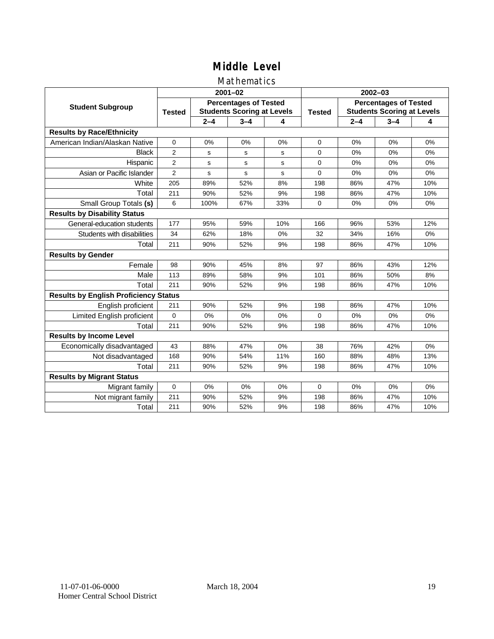#### Mathematics

|                                              |                                                                                    |         | $2001 - 02$ |               | $2002 - 03$                                                       |         |         |     |
|----------------------------------------------|------------------------------------------------------------------------------------|---------|-------------|---------------|-------------------------------------------------------------------|---------|---------|-----|
| <b>Student Subgroup</b>                      | <b>Percentages of Tested</b><br><b>Students Scoring at Levels</b><br><b>Tested</b> |         |             | <b>Tested</b> | <b>Percentages of Tested</b><br><b>Students Scoring at Levels</b> |         |         |     |
|                                              |                                                                                    | $2 - 4$ | $3 - 4$     | 4             |                                                                   | $2 - 4$ | $3 - 4$ | 4   |
| <b>Results by Race/Ethnicity</b>             |                                                                                    |         |             |               |                                                                   |         |         |     |
| American Indian/Alaskan Native               | $\mathbf 0$                                                                        | 0%      | 0%          | 0%            | $\Omega$                                                          | 0%      | 0%      | 0%  |
| <b>Black</b>                                 | 2                                                                                  | s       | s           | s             | $\Omega$                                                          | 0%      | 0%      | 0%  |
| Hispanic                                     | $\overline{2}$                                                                     | s       | s           | s             | $\Omega$                                                          | 0%      | 0%      | 0%  |
| Asian or Pacific Islander                    | $\overline{2}$                                                                     | s       | s           | s             | 0                                                                 | 0%      | 0%      | 0%  |
| White                                        | 205                                                                                | 89%     | 52%         | 8%            | 198                                                               | 86%     | 47%     | 10% |
| Total                                        | 211                                                                                | 90%     | 52%         | 9%            | 198                                                               | 86%     | 47%     | 10% |
| Small Group Totals (s)                       | 6                                                                                  | 100%    | 67%         | 33%           | $\Omega$                                                          | 0%      | 0%      | 0%  |
| <b>Results by Disability Status</b>          |                                                                                    |         |             |               |                                                                   |         |         |     |
| General-education students                   | 177                                                                                | 95%     | 59%         | 10%           | 166                                                               | 96%     | 53%     | 12% |
| Students with disabilities                   | 34                                                                                 | 62%     | 18%         | 0%            | 32                                                                | 34%     | 16%     | 0%  |
| Total                                        | 211                                                                                | 90%     | 52%         | 9%            | 198                                                               | 86%     | 47%     | 10% |
| <b>Results by Gender</b>                     |                                                                                    |         |             |               |                                                                   |         |         |     |
| Female                                       | 98                                                                                 | 90%     | 45%         | 8%            | 97                                                                | 86%     | 43%     | 12% |
| Male                                         | 113                                                                                | 89%     | 58%         | 9%            | 101                                                               | 86%     | 50%     | 8%  |
| Total                                        | 211                                                                                | 90%     | 52%         | 9%            | 198                                                               | 86%     | 47%     | 10% |
| <b>Results by English Proficiency Status</b> |                                                                                    |         |             |               |                                                                   |         |         |     |
| English proficient                           | 211                                                                                | 90%     | 52%         | 9%            | 198                                                               | 86%     | 47%     | 10% |
| Limited English proficient                   | 0                                                                                  | 0%      | 0%          | 0%            | 0                                                                 | 0%      | 0%      | 0%  |
| Total                                        | 211                                                                                | 90%     | 52%         | 9%            | 198                                                               | 86%     | 47%     | 10% |
| <b>Results by Income Level</b>               |                                                                                    |         |             |               |                                                                   |         |         |     |
| Economically disadvantaged                   | 43                                                                                 | 88%     | 47%         | 0%            | 38                                                                | 76%     | 42%     | 0%  |
| Not disadvantaged                            | 168                                                                                | 90%     | 54%         | 11%           | 160                                                               | 88%     | 48%     | 13% |
| Total                                        | 211                                                                                | 90%     | 52%         | 9%            | 198                                                               | 86%     | 47%     | 10% |
| <b>Results by Migrant Status</b>             |                                                                                    |         |             |               |                                                                   |         |         |     |
| Migrant family                               | 0                                                                                  | 0%      | 0%          | 0%            | $\Omega$                                                          | 0%      | 0%      | 0%  |
| Not migrant family                           | 211                                                                                | 90%     | 52%         | 9%            | 198                                                               | 86%     | 47%     | 10% |
| Total                                        | 211                                                                                | 90%     | 52%         | 9%            | 198                                                               | 86%     | 47%     | 10% |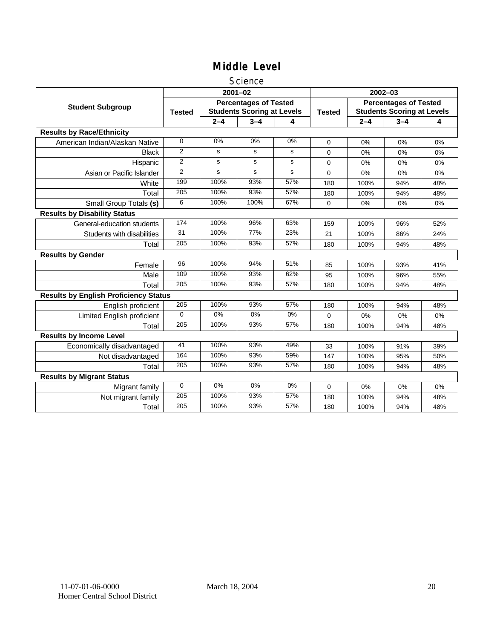#### Science

|                                              |                 |         | $2001 - 02$                                                       |       | $2002 - 03$   |                                                                   |         |     |  |
|----------------------------------------------|-----------------|---------|-------------------------------------------------------------------|-------|---------------|-------------------------------------------------------------------|---------|-----|--|
| <b>Student Subgroup</b>                      | <b>Tested</b>   |         | <b>Percentages of Tested</b><br><b>Students Scoring at Levels</b> |       | <b>Tested</b> | <b>Percentages of Tested</b><br><b>Students Scoring at Levels</b> |         |     |  |
|                                              |                 | $2 - 4$ | $3 - 4$                                                           | 4     |               | $2 - 4$                                                           | $3 - 4$ | 4   |  |
| <b>Results by Race/Ethnicity</b>             |                 |         |                                                                   |       |               |                                                                   |         |     |  |
| American Indian/Alaskan Native               | $\Omega$        | 0%      | 0%                                                                | 0%    | $\Omega$      | 0%                                                                | 0%      | 0%  |  |
| <b>Black</b>                                 | $\overline{2}$  | s       | s                                                                 | s     | 0             | 0%                                                                | 0%      | 0%  |  |
| Hispanic                                     | 2               | s       | s                                                                 | s     | 0             | $0\%$                                                             | 0%      | 0%  |  |
| Asian or Pacific Islander                    | $\overline{2}$  | s       | s                                                                 | s     | 0             | 0%                                                                | 0%      | 0%  |  |
| White                                        | 199             | 100%    | 93%                                                               | 57%   | 180           | 100%                                                              | 94%     | 48% |  |
| Total                                        | 205             | 100%    | 93%                                                               | 57%   | 180           | 100%                                                              | 94%     | 48% |  |
| Small Group Totals (s)                       | 6               | 100%    | 100%                                                              | 67%   | $\Omega$      | 0%                                                                | 0%      | 0%  |  |
| <b>Results by Disability Status</b>          |                 |         |                                                                   |       |               |                                                                   |         |     |  |
| General-education students                   | 174             | 100%    | 96%                                                               | 63%   | 159           | 100%                                                              | 96%     | 52% |  |
| Students with disabilities                   | $\overline{31}$ | 100%    | 77%                                                               | 23%   | 21            | 100%                                                              | 86%     | 24% |  |
| Total                                        | 205             | 100%    | 93%                                                               | 57%   | 180           | 100%                                                              | 94%     | 48% |  |
| <b>Results by Gender</b>                     |                 |         |                                                                   |       |               |                                                                   |         |     |  |
| Female                                       | $\overline{96}$ | 100%    | 94%                                                               | 51%   | 85            | 100%                                                              | 93%     | 41% |  |
| Male                                         | 109             | 100%    | 93%                                                               | 62%   | 95            | 100%                                                              | 96%     | 55% |  |
| Total                                        | 205             | 100%    | 93%                                                               | 57%   | 180           | 100%                                                              | 94%     | 48% |  |
| <b>Results by English Proficiency Status</b> |                 |         |                                                                   |       |               |                                                                   |         |     |  |
| English proficient                           | 205             | 100%    | 93%                                                               | 57%   | 180           | 100%                                                              | 94%     | 48% |  |
| <b>Limited English proficient</b>            | $\Omega$        | $0\%$   | $0\%$                                                             | $0\%$ | 0             | 0%                                                                | 0%      | 0%  |  |
| Total                                        | 205             | 100%    | 93%                                                               | 57%   | 180           | 100%                                                              | 94%     | 48% |  |
| <b>Results by Income Level</b>               |                 |         |                                                                   |       |               |                                                                   |         |     |  |
| Economically disadvantaged                   | 41              | 100%    | 93%                                                               | 49%   | 33            | 100%                                                              | 91%     | 39% |  |
| Not disadvantaged                            | 164             | 100%    | 93%                                                               | 59%   | 147           | 100%                                                              | 95%     | 50% |  |
| Total                                        | 205             | 100%    | 93%                                                               | 57%   | 180           | 100%                                                              | 94%     | 48% |  |
| <b>Results by Migrant Status</b>             |                 |         |                                                                   |       |               |                                                                   |         |     |  |
| Migrant family                               | $\mathbf 0$     | 0%      | 0%                                                                | 0%    | 0             | 0%                                                                | 0%      | 0%  |  |
| Not migrant family                           | 205             | 100%    | 93%                                                               | 57%   | 180           | 100%                                                              | 94%     | 48% |  |
| Total                                        | 205             | 100%    | 93%                                                               | 57%   | 180           | 100%                                                              | 94%     | 48% |  |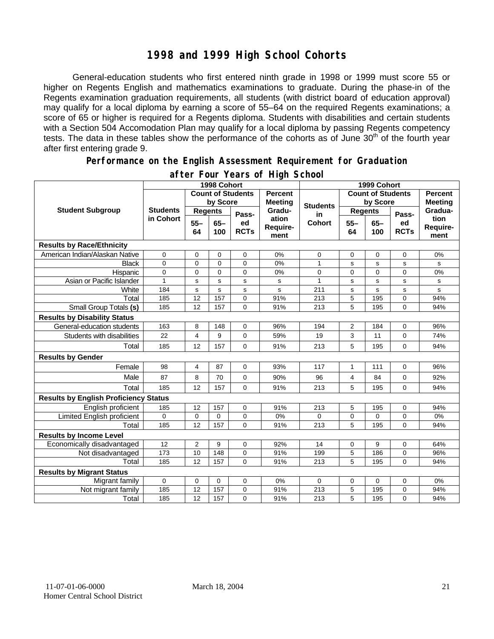#### **1998 and 1999 High School Cohorts**

General-education students who first entered ninth grade in 1998 or 1999 must score 55 or higher on Regents English and mathematics examinations to graduate. During the phase-in of the Regents examination graduation requirements, all students (with district board of education approval) may qualify for a local diploma by earning a score of 55–64 on the required Regents examinations; a score of 65 or higher is required for a Regents diploma. Students with disabilities and certain students with a Section 504 Accomodation Plan may qualify for a local diploma by passing Regents competency tests. The data in these tables show the performance of the cohorts as of June 30<sup>th</sup> of the fourth year after first entering grade 9.

#### **Performance on the English Assessment Requirement for Graduation**

|                                              |                              | 1998 Cohort              |              | 1999 Cohort                      |                           |                          |                |                                  |                   |                          |
|----------------------------------------------|------------------------------|--------------------------|--------------|----------------------------------|---------------------------|--------------------------|----------------|----------------------------------|-------------------|--------------------------|
|                                              |                              | <b>Count of Students</b> |              | <b>Percent</b><br><b>Meeting</b> |                           | <b>Count of Students</b> |                | <b>Percent</b><br><b>Meeting</b> |                   |                          |
| <b>Student Subgroup</b>                      | <b>Students</b><br>in Cohort | by Score                 |              |                                  | <b>Students</b>           | by Score                 |                |                                  |                   |                          |
|                                              |                              | <b>Regents</b>           |              | Pass-                            | Gradu-                    | in                       | <b>Regents</b> |                                  | Pass-             | Gradua-                  |
|                                              |                              | $55 -$<br>64             | $65-$<br>100 | ed<br><b>RCTs</b>                | ation<br>Require-<br>ment | <b>Cohort</b>            | $55 -$<br>64   | $65 -$<br>100                    | ed<br><b>RCTs</b> | tion<br>Require-<br>ment |
| <b>Results by Race/Ethnicity</b>             |                              |                          |              |                                  |                           |                          |                |                                  |                   |                          |
| American Indian/Alaskan Native               | $\mathbf 0$                  | 0                        | $\Omega$     | $\mathbf 0$                      | 0%                        | 0                        | 0              | 0                                | $\mathbf 0$       | 0%                       |
| <b>Black</b>                                 | $\mathbf 0$                  | 0                        | $\mathbf 0$  | $\mathbf 0$                      | 0%                        | 1                        | s              | s                                | s                 | s                        |
| Hispanic                                     | $\overline{0}$               | 0                        | $\Omega$     | $\overline{0}$                   | 0%                        | 0                        | $\overline{0}$ | $\Omega$                         | $\Omega$          | 0%                       |
| Asian or Pacific Islander                    | $\mathbf{1}$                 | s                        | s            | s                                | s                         | 1                        | s              | s                                | s                 | s                        |
| White                                        | 184                          | $\mathbf s$              | s            | ${\tt s}$                        | s                         | 211                      | $\mathbf s$    | s                                | s                 | s                        |
| Total                                        | 185                          | 12                       | 157          | $\mathbf 0$                      | 91%                       | 213                      | 5              | 195                              | $\mathbf 0$       | 94%                      |
| Small Group Totals (s)                       | 185                          | 12                       | 157          | $\Omega$                         | 91%                       | 213                      | 5              | 195                              | $\Omega$          | 94%                      |
| <b>Results by Disability Status</b>          |                              |                          |              |                                  |                           |                          |                |                                  |                   |                          |
| General-education students                   | 163                          | 8                        | 148          | 0                                | 96%                       | 194                      | $\overline{2}$ | 184                              | 0                 | 96%                      |
| Students with disabilities                   | 22                           | 4                        | 9            | $\mathbf 0$                      | 59%                       | 19                       | 3              | 11                               | $\mathbf 0$       | 74%                      |
| Total                                        | 185                          | 12                       | 157          | 0                                | 91%                       | 213                      | 5              | 195                              | 0                 | 94%                      |
| <b>Results by Gender</b>                     |                              |                          |              |                                  |                           |                          |                |                                  |                   |                          |
| Female                                       | 98                           | $\overline{4}$           | 87           | $\mathbf 0$                      | 93%                       | 117                      | 1              | 111                              | $\mathbf 0$       | 96%                      |
| Male                                         | 87                           | 8                        | 70           | $\Omega$                         | 90%                       | 96                       | 4              | 84                               | $\Omega$          | 92%                      |
| Total                                        | 185                          | 12                       | 157          | $\Omega$                         | 91%                       | 213                      | 5              | 195                              | $\Omega$          | 94%                      |
| <b>Results by English Proficiency Status</b> |                              |                          |              |                                  |                           |                          |                |                                  |                   |                          |
| English proficient                           | 185                          | 12                       | 157          | $\mathbf 0$                      | 91%                       | 213                      | 5              | 195                              | $\mathbf 0$       | 94%                      |
| Limited English proficient                   | $\mathbf 0$                  | 0                        | 0            | 0                                | 0%                        | 0                        | 0              | 0                                | 0                 | 0%                       |
| Total                                        | 185                          | 12                       | 157          | $\Omega$                         | 91%                       | 213                      | 5              | 195                              | $\Omega$          | 94%                      |
| <b>Results by Income Level</b>               |                              |                          |              |                                  |                           |                          |                |                                  |                   |                          |
| Economically disadvantaged                   | 12                           | $\overline{2}$           | 9            | $\mathbf 0$                      | 92%                       | 14                       | 0              | 9                                | $\mathbf 0$       | 64%                      |
| Not disadvantaged                            | 173                          | 10                       | 148          | 0                                | 91%                       | 199                      | 5              | 186                              | 0                 | 96%                      |
| Total                                        | 185                          | 12                       | 157          | $\Omega$                         | 91%                       | 213                      | 5              | 195                              | 0                 | 94%                      |
| <b>Results by Migrant Status</b>             |                              |                          |              |                                  |                           |                          |                |                                  |                   |                          |
| Migrant family                               | $\mathbf 0$                  | 0                        | 0            | $\mathbf 0$                      | 0%                        | 0                        | 0              | 0                                | $\mathbf 0$       | 0%                       |
| Not migrant family                           | 185                          | 12                       | 157          | 0                                | 91%                       | 213                      | 5              | 195                              | 0                 | 94%                      |
| Total                                        | 185                          | 12                       | 157          | $\Omega$                         | 91%                       | 213                      | 5              | 195                              | $\Omega$          | 94%                      |

#### **after Four Years of High School**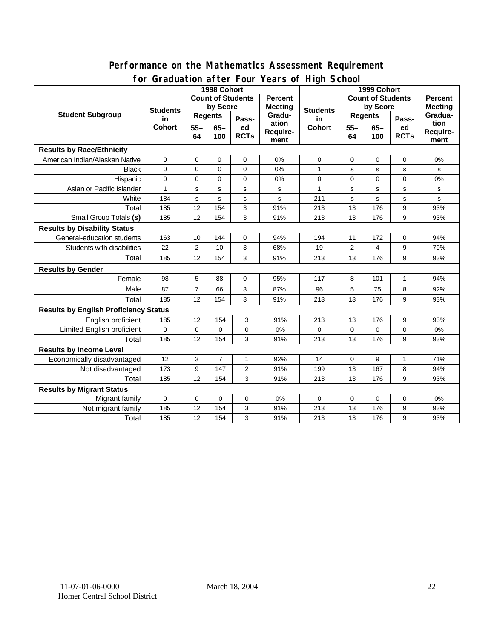#### **for Graduation after Four Years of High School 1998 Cohort 1999 Cohort Count of Students by Score Count of Students by Score** Student Subgroup Students **Busicial Students Regents Regents Students Regents Regents in Cohort 55– 64 65– 100 Passed RCTs Percent Meeting Graduation Requirement Students in Cohort 55– 64 65– 100 Passed RCTs Percent Meeting Graduation Requirement Results by Race/Ethnicity**  American Indian/Alaskan Native 0 0 0 0 0% 0 0 0 0 0% Black | 0 | 0 | 0 | 0 | 0% | 1 | s | s | s | s Hispanic 0 0 0 0 0% 0 0 0 0 0% Asian or Pacific Islander 1 s s s s s s 1 s s s s s White | 184 | s | s | s | s | 211 | s | s | s | s

# **Performance on the Mathematics Assessment Requirement**

| White                                        | 184      | s              | s              | s              | s     | 211      | s        | s        | s            | s   |
|----------------------------------------------|----------|----------------|----------------|----------------|-------|----------|----------|----------|--------------|-----|
| Total                                        | 185      | 12             | 154            | 3              | 91%   | 213      | 13       | 176      | 9            | 93% |
| Small Group Totals (s)                       | 185      | 12             | 154            | 3              | 91%   | 213      | 13       | 176      | 9            | 93% |
| <b>Results by Disability Status</b>          |          |                |                |                |       |          |          |          |              |     |
| General-education students                   | 163      | 10             | 144            | $\mathbf 0$    | 94%   | 194      | 11       | 172      | 0            | 94% |
| Students with disabilities                   | 22       | $\overline{2}$ | 10             | 3              | 68%   | 19       | 2        | 4        | 9            | 79% |
| Total                                        | 185      | 12             | 154            | 3              | 91%   | 213      | 13       | 176      | 9            | 93% |
| <b>Results by Gender</b>                     |          |                |                |                |       |          |          |          |              |     |
| Female                                       | 98       | 5              | 88             | $\Omega$       | 95%   | 117      | 8        | 101      | $\mathbf{1}$ | 94% |
| Male                                         | 87       | $\overline{7}$ | 66             | 3              | 87%   | 96       | 5        | 75       | 8            | 92% |
| Total                                        | 185      | 12             | 154            | 3              | 91%   | 213      | 13       | 176      | 9            | 93% |
| <b>Results by English Proficiency Status</b> |          |                |                |                |       |          |          |          |              |     |
| English proficient                           | 185      | 12             | 154            | 3              | 91%   | 213      | 13       | 176      | 9            | 93% |
| Limited English proficient                   | $\Omega$ | $\Omega$       | $\Omega$       | $\Omega$       | 0%    | $\Omega$ | $\Omega$ | $\Omega$ | $\Omega$     | 0%  |
| Total                                        | 185      | 12             | 154            | 3              | 91%   | 213      | 13       | 176      | 9            | 93% |
| <b>Results by Income Level</b>               |          |                |                |                |       |          |          |          |              |     |
| Economically disadvantaged                   | 12       | 3              | $\overline{7}$ | 1              | 92%   | 14       | $\Omega$ | 9        | 1            | 71% |
| Not disadvantaged                            | 173      | 9              | 147            | $\overline{2}$ | 91%   | 199      | 13       | 167      | 8            | 94% |
| Total                                        | 185      | 12             | 154            | 3              | 91%   | 213      | 13       | 176      | 9            | 93% |
| <b>Results by Migrant Status</b>             |          |                |                |                |       |          |          |          |              |     |
| Migrant family                               | $\Omega$ | 0              | $\Omega$       | 0              | $0\%$ | $\Omega$ | $\Omega$ | 0        | $\Omega$     | 0%  |
| Not migrant family                           | 185      | 12             | 154            | 3              | 91%   | 213      | 13       | 176      | 9            | 93% |
| Total                                        | 185      | 12             | 154            | 3              | 91%   | 213      | 13       | 176      | 9            | 93% |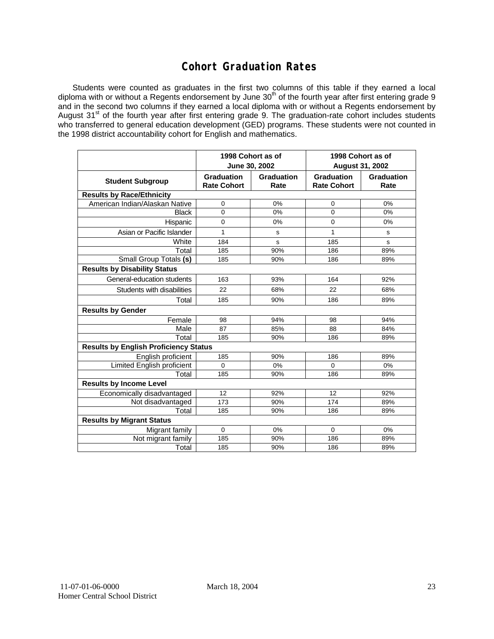### **Cohort Graduation Rates**

Students were counted as graduates in the first two columns of this table if they earned a local diploma with or without a Regents endorsement by June 30<sup>th</sup> of the fourth year after first entering grade 9 and in the second two columns if they earned a local diploma with or without a Regents endorsement by August 31<sup>st</sup> of the fourth year after first entering grade 9. The graduation-rate cohort includes students who transferred to general education development (GED) programs. These students were not counted in the 1998 district accountability cohort for English and mathematics.

|                                              |                                         | 1998 Cohort as of<br>June 30, 2002 | 1998 Cohort as of<br><b>August 31, 2002</b> |                    |  |  |  |  |
|----------------------------------------------|-----------------------------------------|------------------------------------|---------------------------------------------|--------------------|--|--|--|--|
| <b>Student Subgroup</b>                      | <b>Graduation</b><br><b>Rate Cohort</b> | Graduation<br>Rate                 | <b>Graduation</b><br><b>Rate Cohort</b>     | Graduation<br>Rate |  |  |  |  |
| <b>Results by Race/Ethnicity</b>             |                                         |                                    |                                             |                    |  |  |  |  |
| American Indian/Alaskan Native               | 0                                       | 0%                                 | 0                                           | 0%                 |  |  |  |  |
| <b>Black</b>                                 | $\overline{0}$                          | 0%                                 | $\Omega$                                    | 0%                 |  |  |  |  |
| Hispanic                                     | $\mathbf 0$                             | $0\%$                              | $\mathbf 0$                                 | 0%                 |  |  |  |  |
| Asian or Pacific Islander                    | 1                                       | s                                  | 1                                           | s                  |  |  |  |  |
| White                                        | 184                                     | s                                  | 185                                         | s                  |  |  |  |  |
| Total                                        | 185                                     | 90%                                | 186                                         | 89%                |  |  |  |  |
| Small Group Totals (s)                       | 185                                     | 90%                                | 186                                         | 89%                |  |  |  |  |
| <b>Results by Disability Status</b>          |                                         |                                    |                                             |                    |  |  |  |  |
| General-education students                   | 163                                     | 93%                                | 164                                         | 92%                |  |  |  |  |
| Students with disabilities                   | 22                                      | 68%                                | 22                                          | 68%                |  |  |  |  |
| Total                                        | 185                                     | 90%                                | 186                                         | 89%                |  |  |  |  |
| <b>Results by Gender</b>                     |                                         |                                    |                                             |                    |  |  |  |  |
| Female                                       | 98                                      | 94%                                | 98                                          | 94%                |  |  |  |  |
| Male                                         | 87                                      | 85%                                | 88                                          | 84%                |  |  |  |  |
| Total                                        | 185                                     | 90%                                | 186                                         | 89%                |  |  |  |  |
| <b>Results by English Proficiency Status</b> |                                         |                                    |                                             |                    |  |  |  |  |
| English proficient                           | 185                                     | 90%                                | 186                                         | 89%                |  |  |  |  |
| Limited English proficient                   | $\mathbf 0$                             | 0%                                 | $\Omega$                                    | 0%                 |  |  |  |  |
| Total                                        | 185                                     | 90%                                | 186                                         | 89%                |  |  |  |  |
| <b>Results by Income Level</b>               |                                         |                                    |                                             |                    |  |  |  |  |
| Economically disadvantaged                   | 12                                      | 92%                                | 12                                          | 92%                |  |  |  |  |
| Not disadvantaged                            | 173                                     | 90%                                | 174                                         | 89%                |  |  |  |  |
| Total                                        | 185                                     | 90%                                | 186                                         | 89%                |  |  |  |  |
| <b>Results by Migrant Status</b>             |                                         |                                    |                                             |                    |  |  |  |  |
| Migrant family                               | $\mathbf 0$                             | 0%                                 | $\Omega$                                    | 0%                 |  |  |  |  |
| Not migrant family                           | 185                                     | 90%                                | 186                                         | 89%                |  |  |  |  |
| Total                                        | 185                                     | 90%                                | 186                                         | 89%                |  |  |  |  |